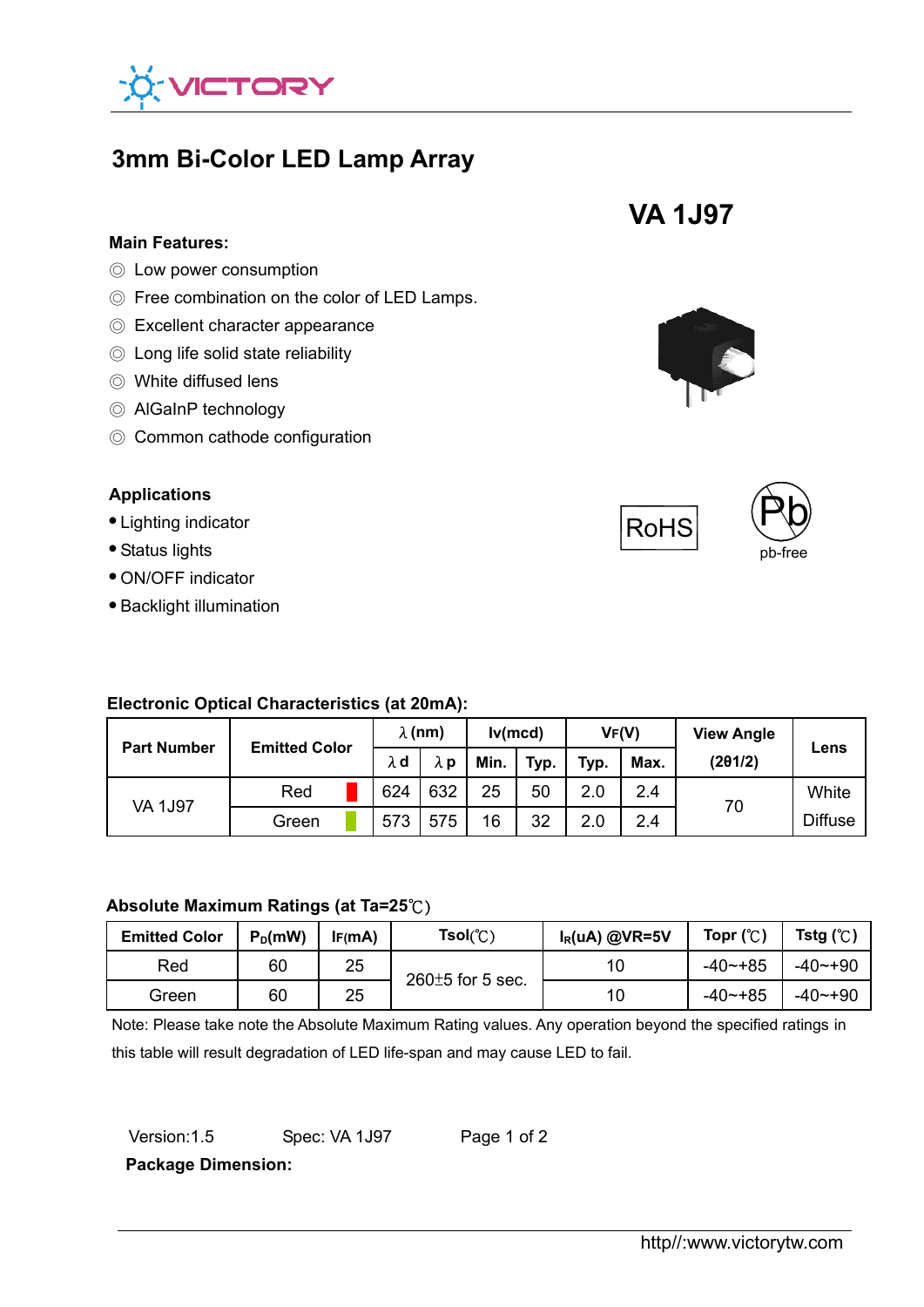

# **3mm Bi-Color LED Lamp Array**

#### **Main Features:**

- ◎ Low power consumption
- ◎ Free combination on the color of LED Lamps.
- ◎ Excellent character appearance
- ◎ Long life solid state reliability
- ◎ White diffused lens
- ◎ AlGaInP technology
- ◎ Common cathode configuration

## **Applications**

#### ● Lighting indicator

- Status lights
- ON/OFF indicator
- Backlight illumination

## **Electronic Optical Characteristics (at 20mA):**

| <b>Part Number</b> | <b>Emitted Color</b> | $\lambda$ (nm) |             | lv(mcd) |      | VF(V) |      | <b>View Angle</b> |                |
|--------------------|----------------------|----------------|-------------|---------|------|-------|------|-------------------|----------------|
|                    |                      | λd             | $\lambda$ p | Min.    | Typ. | Typ.  | Max. | (201/2)           | Lens           |
| <b>VA 1J97</b>     | Red                  | 624            | 632         | 25      | 50   | 2.0   | 2.4  | 70                | White          |
|                    | Green                | 573            | 575         | 16      | 32   | 2.0   | 2.4  |                   | <b>Diffuse</b> |

## **Absolute Maximum Ratings (at Ta=25**℃)

| <b>Emitted Color</b> | $P_D$ (mW) | IF(mA) | $Tsol(\mathcal{C})$   | $I_R(uA)$ @VR=5V | Topr $(C)$  | Tstg $(\mathbb{C})$ |
|----------------------|------------|--------|-----------------------|------------------|-------------|---------------------|
| Red                  | 60         | 25     | $260\pm 5$ for 5 sec. | 10               | $-40 - +85$ | $-40$ ~+90          |
| Green                | 60         | 25     |                       | 10               | $-40 - +85$ | $-40$ ~+90          |

Note: Please take note the Absolute Maximum Rating values. Any operation beyond the specified ratings in this table will result degradation of LED life-span and may cause LED to fail.

| Version: 1.5 | Spec: VA 1J97 | Page 1 of 2 |
|--------------|---------------|-------------|
|              |               |             |

**Package Dimension:**